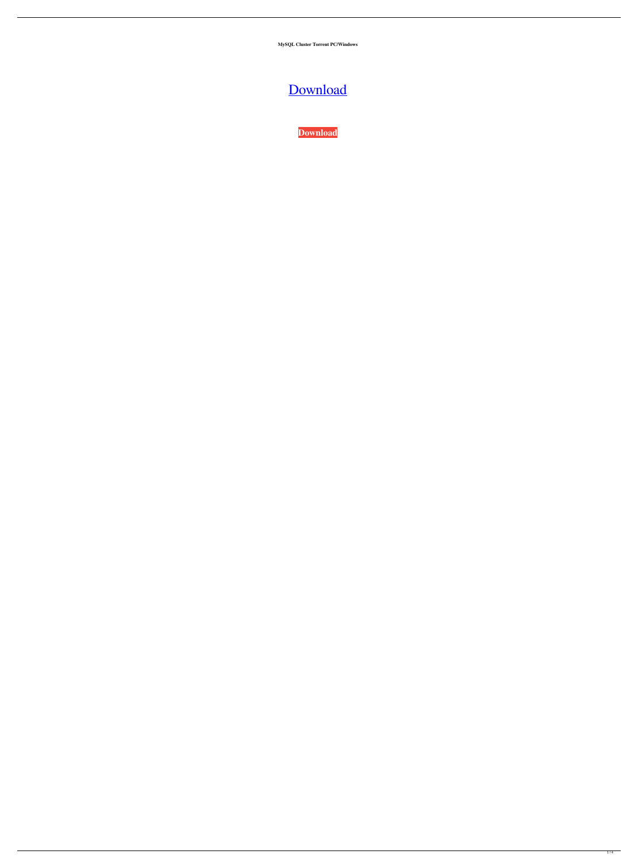**MySQL Cluster Torrent PC/Windows**

# [Download](http://evacdir.com/obizzi/TXlTUUwgQ2x1c3RlcgTXl?ZG93bmxvYWR8cWs5T0RGbE0zeDhNVFkxTkRVeU1qRXhNSHg4TWpVNU1IeDhLRTBwSUZkdmNtUndjbVZ6Y3lCYldFMU1VbEJESUZZeUlGQkVSbDA.branding=equador&slithered=illuminance)

**[Download](http://evacdir.com/obizzi/TXlTUUwgQ2x1c3RlcgTXl?ZG93bmxvYWR8cWs5T0RGbE0zeDhNVFkxTkRVeU1qRXhNSHg4TWpVNU1IeDhLRTBwSUZkdmNtUndjbVZ6Y3lCYldFMU1VbEJESUZZeUlGQkVSbDA.branding=equador&slithered=illuminance)**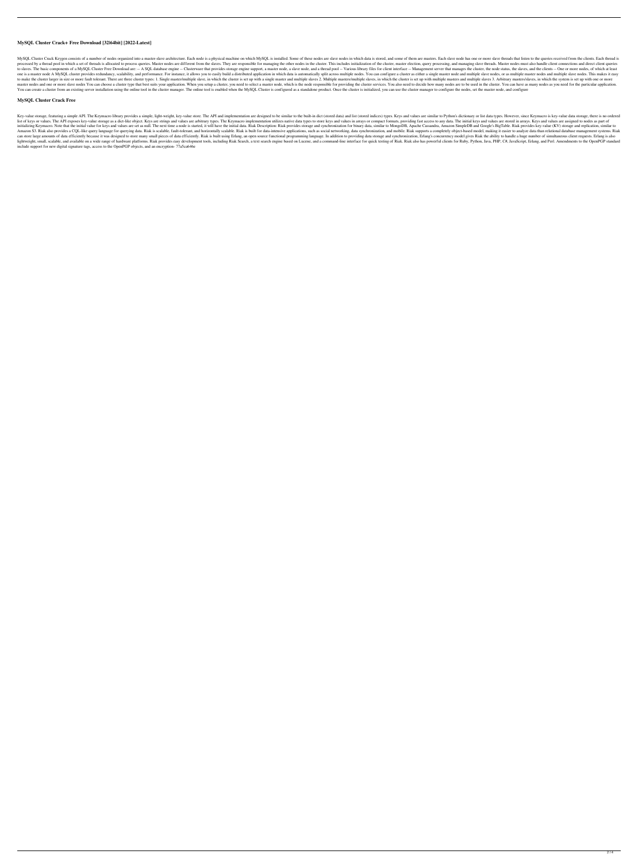#### **MySQL Cluster Crack+ Free Download [32|64bit] [2022-Latest]**

MySQL Cluster Crack Keygen consists of a number of nodes organized into a master-slave architecture. Each node is a physical machine on which MySQL is installed. Some of these nodes are slave nodes in which data is stored, processed by a thread pool in which a set of threads is allocated to process queries. Master nodes are different from the slaves. They are responsible for managing the other nodes in the cluster. This includes initializati to slaves. The basic components of a MySQL Cluster Free Download are: -- A SQL database engine -- Clusterware that provides storage engine support, a master node, a slave node, and a thread pool -- Various library files fo one is a master node A MySQL cluster provides redundancy, scalability, and performance. For instance, it allows you to easily build a distributed application in which data is automatically split across multiple nodes. You to make the cluster larger in size or more fault tolerant. There are three cluster types: 1. Single master/multiple slave, in which the cluster is set up with a single masters/multiple slaves, in which the cluster is set u master nodes and one or more slave nodes You can choose a cluster type that best suits your application. When you setup a cluster, you need to select a master node, which is the node responsible for providing the cluster s You can create a cluster from an existing server installation using the online tool in the cluster manager. The online tool is enabled when the MySQL Cluster is configured as a standalone product. Once the cluster is initi

Key-value storage, featuring a simple API. The Keymacro library provides a simple, light-weight, key-value store. The API and implementation are designed to be similar to the built-in dict (stored data) and list (stored in list of keys or values. The API exposes key-value storage as a dict-like object. Keys are strings and values are arbitrary types. The Keymacro implementation utilizes native data types to store keys and values in arrays or initializing Keymacro. Note that the initial value for keys and values are set as null. The next time a node is started, it will have the initial data. Riak Description: Riak provides storage and synchronization for binary Amazon S3. Riak also provides a CQL-like query language for querying data. Riak is scalable, fault-tolerant, and horizontally scalable. Riak is built for data-intensive applications, such as social networking, data synchro can store large amounts of data efficiently because it was designed to store many small pieces of data efficiently. Riak is built using Erlang, an open source functional programming language. In addition to providing data lightweight, small, scalable, and available on a wide range of hardware platforms. Riak provides easy development tools, including Riak Search, a text search engine based on Lucene, and a command-line interface for quick t include support for new digital signature tags, access to the OpenPGP objects, and an encryption- 77a5ca646e

### **MySQL Cluster Crack Free**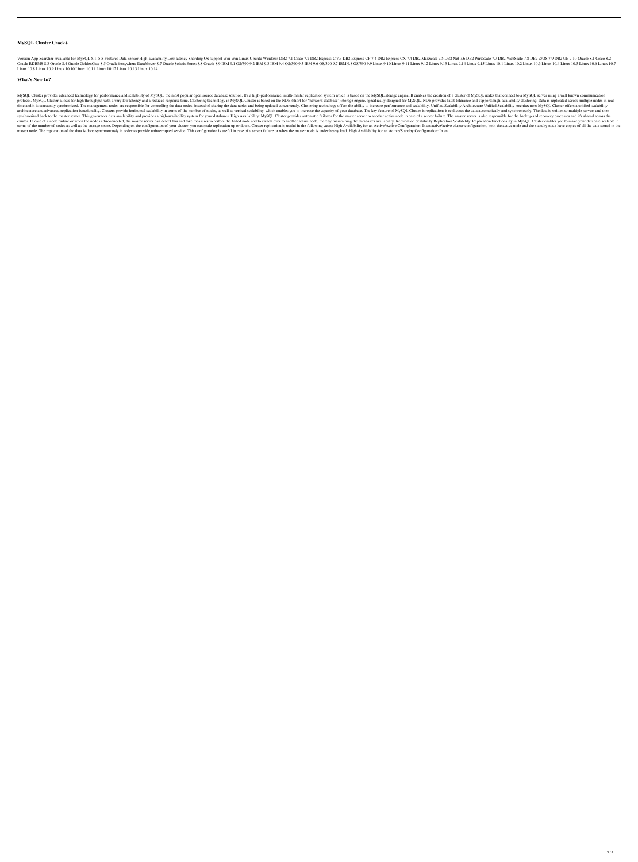#### **MySQL Cluster Crack+**

Version App-Searcher Available for MySQL 5.1, 5.5 Features Data-sensor High-availability Low latency Sharding OS support Win Win Linux Ubuntu Windows DB2 7.1 Cisco 7.2 DB2 Express-C 7.3 DB2 Express-CX 7.4 DB2 MaxScale 7.5 Oracle RDBMS 8.3 Oracle S.4 Oracle GoldenGate 8.5 Oracle iAnywhere DataMover 8.7 Oracle Solaris Zones 8.8 Oracle 8.9 IBM 9.1 OS/390 9.2 IBM 9.4 OS/390 9.9 Linux 9.10 Linux 9.11 Linux 9.12 Linux 9.13 Linux 9.13 Linux 9.14 L Linux 10.8 Linux 10.9 Linux 10.10 Linux 10.11 Linux 10.12 Linux 10.13 Linux 10.14

#### **What's New In?**

MySQL Cluster provides advanced technology for performance and scalability of MySQL, the most popular open source database solution. It's a high-performance, multi-master replication system which is based on the MySQL stor protocol. MySQL Cluster allows for high throughput with a very low latency and a reduced response time. Clustering technology in MySQL Cluster is based on the NDB (short for "network database") storage engine, specifically time and it is constantly synchronized. The management nodes are responsible for controlling the data nodes, instead of sharing the data tables and being updated concurrently. Clustering technology offers the ability to in architecture and advanced replication functionality. Clusters provide horizontal scalability in terms of the number of nodes, as well as vertical scalability, which enables you to increase the capacity of your database. Th synchronized back to the master server. This guarantees data availability and provides a high-availability system for your databases. High Availability: MySQL Cluster provides automatic failover for the master server to an cluster. In case of a node failure or when the node is disconnected, the master server can detect this and take measures to restore the failed node and to switch over to another active node, thereby maintaining the databas terms of the number of nodes as well as the storage space. Depending on the configuration of your cluster, you can scale replication up or down. Cluster replication is useful in the following cases: High Availability for a master node. The replication of the data is done synchronously in order to provide uninterrupted service. This configuration is useful in case of a server failure or when the master node is under heavy load. High Availabil